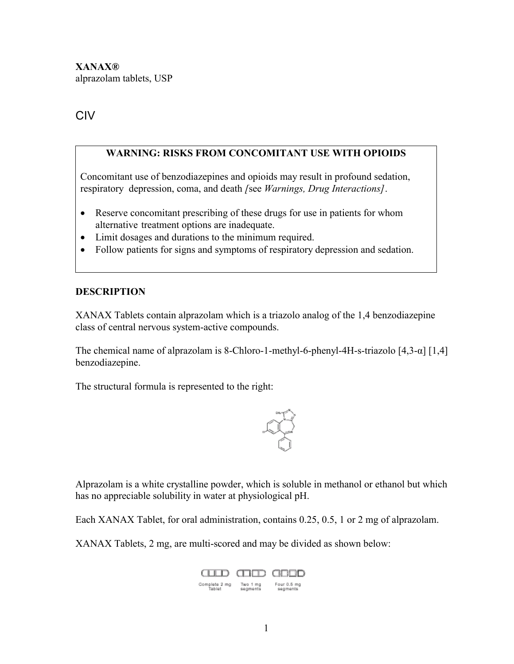**XANAX®**  alprazolam tablets, USP

**CIV** 

# **WARNING: RISKS FROM CONCOMITANT USE WITH OPIOIDS**

Concomitant use of benzodiazepines and opioids may result in profound sedation, respiratory depression, coma, and death *[*see *Warnings, Drug Interactions]*.

- Reserve concomitant prescribing of these drugs for use in patients for whom alternative treatment options are inadequate.
- Limit dosages and durations to the minimum required.
- Follow patients for signs and symptoms of respiratory depression and sedation.

# **DESCRIPTION**

XANAX Tablets contain alprazolam which is a triazolo analog of the 1,4 benzodiazepine class of central nervous system-active compounds.

The chemical name of alprazolam is 8-Chloro-1-methyl-6-phenyl-4H-s-triazolo  $[4,3-\alpha]$   $[1,4]$ benzodiazepine.

The structural formula is represented to the right:



Alprazolam is a white crystalline powder, which is soluble in methanol or ethanol but which has no appreciable solubility in water at physiological pH.

Each XANAX Tablet, for oral administration, contains 0.25, 0.5, 1 or 2 mg of alprazolam.

XANAX Tablets, 2 mg, are multi-scored and may be divided as shown below:

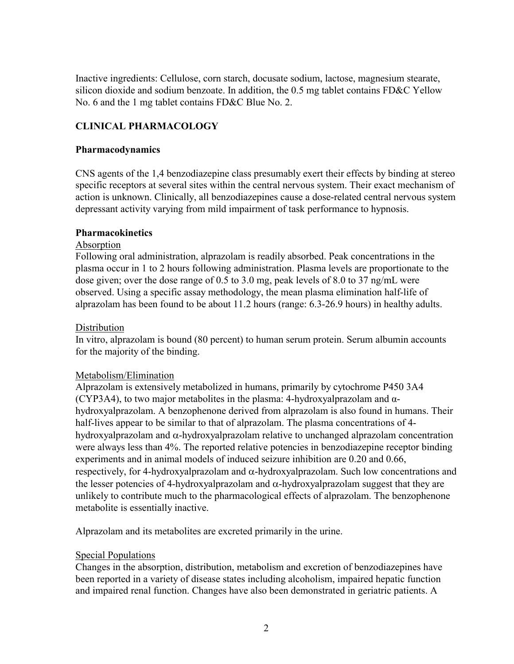Inactive ingredients: Cellulose, corn starch, docusate sodium, lactose, magnesium stearate, silicon dioxide and sodium benzoate. In addition, the 0.5 mg tablet contains FD&C Yellow No. 6 and the 1 mg tablet contains FD&C Blue No. 2.

# **CLINICAL PHARMACOLOGY**

#### **Pharmacodynamics**

CNS agents of the 1,4 benzodiazepine class presumably exert their effects by binding at stereo specific receptors at several sites within the central nervous system. Their exact mechanism of action is unknown. Clinically, all benzodiazepines cause a dose-related central nervous system depressant activity varying from mild impairment of task performance to hypnosis.

### **Pharmacokinetics**

### Absorption

Following oral administration, alprazolam is readily absorbed. Peak concentrations in the plasma occur in 1 to 2 hours following administration. Plasma levels are proportionate to the dose given; over the dose range of 0.5 to 3.0 mg, peak levels of 8.0 to 37 ng/mL were observed. Using a specific assay methodology, the mean plasma elimination half-life of alprazolam has been found to be about 11.2 hours (range: 6.3-26.9 hours) in healthy adults.

#### **Distribution**

In vitro, alprazolam is bound (80 percent) to human serum protein. Serum albumin accounts for the majority of the binding.

#### Metabolism/Elimination

Alprazolam is extensively metabolized in humans, primarily by cytochrome P450 3A4 (CYP3A4), to two major metabolites in the plasma: 4-hydroxyalprazolam and  $\alpha$ hydroxyalprazolam. A benzophenone derived from alprazolam is also found in humans. Their half-lives appear to be similar to that of alprazolam. The plasma concentrations of 4 hydroxyalprazolam and  $\alpha$ -hydroxyalprazolam relative to unchanged alprazolam concentration were always less than 4%. The reported relative potencies in benzodiazepine receptor binding experiments and in animal models of induced seizure inhibition are 0.20 and 0.66, respectively, for 4-hydroxyalprazolam and  $\alpha$ -hydroxyalprazolam. Such low concentrations and the lesser potencies of 4-hydroxyalprazolam and  $\alpha$ -hydroxyalprazolam suggest that they are unlikely to contribute much to the pharmacological effects of alprazolam. The benzophenone metabolite is essentially inactive.

Alprazolam and its metabolites are excreted primarily in the urine.

# Special Populations

Changes in the absorption, distribution, metabolism and excretion of benzodiazepines have been reported in a variety of disease states including alcoholism, impaired hepatic function and impaired renal function. Changes have also been demonstrated in geriatric patients. A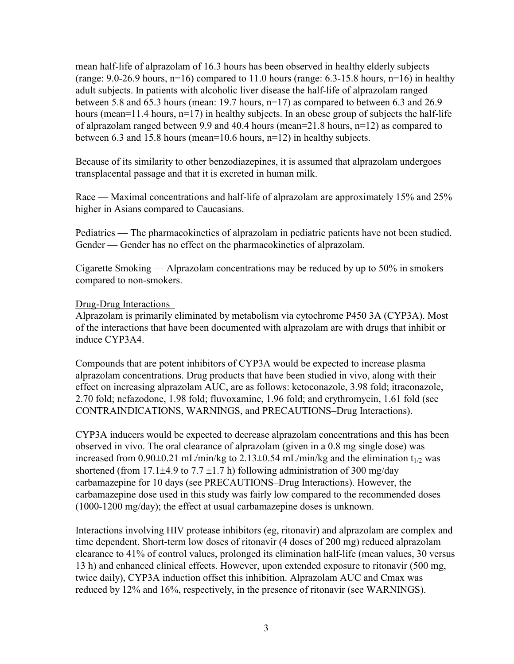mean half-life of alprazolam of 16.3 hours has been observed in healthy elderly subjects (range:  $9.0\n-26.9$  hours, n=16) compared to 11.0 hours (range:  $6.3\n-15.8$  hours, n=16) in healthy adult subjects. In patients with alcoholic liver disease the half-life of alprazolam ranged between 5.8 and 65.3 hours (mean: 19.7 hours, n=17) as compared to between 6.3 and 26.9 hours (mean=11.4 hours, n=17) in healthy subjects. In an obese group of subjects the half-life of alprazolam ranged between 9.9 and 40.4 hours (mean=21.8 hours, n=12) as compared to between 6.3 and 15.8 hours (mean=10.6 hours, n=12) in healthy subjects.

Because of its similarity to other benzodiazepines, it is assumed that alprazolam undergoes transplacental passage and that it is excreted in human milk.

Race — Maximal concentrations and half-life of alprazolam are approximately 15% and 25% higher in Asians compared to Caucasians.

Pediatrics — The pharmacokinetics of alprazolam in pediatric patients have not been studied. Gender — Gender has no effect on the pharmacokinetics of alprazolam.

Cigarette Smoking — Alprazolam concentrations may be reduced by up to 50% in smokers compared to non-smokers.

# Drug-Drug Interactions

Alprazolam is primarily eliminated by metabolism via cytochrome P450 3A (CYP3A). Most of the interactions that have been documented with alprazolam are with drugs that inhibit or induce CYP3A4.

Compounds that are potent inhibitors of CYP3A would be expected to increase plasma alprazolam concentrations. Drug products that have been studied in vivo, along with their effect on increasing alprazolam AUC, are as follows: ketoconazole, 3.98 fold; itraconazole, 2.70 fold; nefazodone, 1.98 fold; fluvoxamine, 1.96 fold; and erythromycin, 1.61 fold (see CONTRAINDICATIONS, WARNINGS, and PRECAUTIONS–Drug Interactions).

CYP3A inducers would be expected to decrease alprazolam concentrations and this has been observed in vivo. The oral clearance of alprazolam (given in a 0.8 mg single dose) was increased from 0.90 $\pm$ 0.21 mL/min/kg to 2.13 $\pm$ 0.54 mL/min/kg and the elimination t<sub>1/2</sub> was shortened (from 17.1 $\pm$ 4.9 to 7.7 $\pm$ 1.7 h) following administration of 300 mg/day carbamazepine for 10 days (see PRECAUTIONS–Drug Interactions). However, the carbamazepine dose used in this study was fairly low compared to the recommended doses (1000-1200 mg/day); the effect at usual carbamazepine doses is unknown.

Interactions involving HIV protease inhibitors (eg, ritonavir) and alprazolam are complex and time dependent. Short-term low doses of ritonavir (4 doses of 200 mg) reduced alprazolam clearance to 41% of control values, prolonged its elimination half-life (mean values, 30 versus 13 h) and enhanced clinical effects. However, upon extended exposure to ritonavir (500 mg, twice daily), CYP3A induction offset this inhibition. Alprazolam AUC and Cmax was reduced by 12% and 16%, respectively, in the presence of ritonavir (see WARNINGS).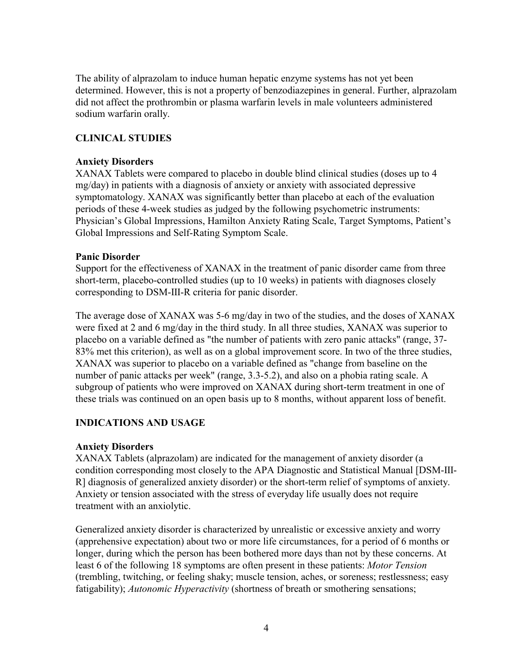The ability of alprazolam to induce human hepatic enzyme systems has not yet been determined. However, this is not a property of benzodiazepines in general. Further, alprazolam did not affect the prothrombin or plasma warfarin levels in male volunteers administered sodium warfarin orally.

# **CLINICAL STUDIES**

# **Anxiety Disorders**

XANAX Tablets were compared to placebo in double blind clinical studies (doses up to 4 mg/day) in patients with a diagnosis of anxiety or anxiety with associated depressive symptomatology. XANAX was significantly better than placebo at each of the evaluation periods of these 4-week studies as judged by the following psychometric instruments: Physician's Global Impressions, Hamilton Anxiety Rating Scale, Target Symptoms, Patient's Global Impressions and Self-Rating Symptom Scale.

# **Panic Disorder**

Support for the effectiveness of XANAX in the treatment of panic disorder came from three short-term, placebo-controlled studies (up to 10 weeks) in patients with diagnoses closely corresponding to DSM-III-R criteria for panic disorder.

The average dose of XANAX was 5-6 mg/day in two of the studies, and the doses of XANAX were fixed at 2 and 6 mg/day in the third study. In all three studies, XANAX was superior to placebo on a variable defined as "the number of patients with zero panic attacks" (range, 37- 83% met this criterion), as well as on a global improvement score. In two of the three studies, XANAX was superior to placebo on a variable defined as "change from baseline on the number of panic attacks per week" (range, 3.3-5.2), and also on a phobia rating scale. A subgroup of patients who were improved on XANAX during short-term treatment in one of these trials was continued on an open basis up to 8 months, without apparent loss of benefit.

# **INDICATIONS AND USAGE**

# **Anxiety Disorders**

XANAX Tablets (alprazolam) are indicated for the management of anxiety disorder (a condition corresponding most closely to the APA Diagnostic and Statistical Manual [DSM-III-R] diagnosis of generalized anxiety disorder) or the short-term relief of symptoms of anxiety. Anxiety or tension associated with the stress of everyday life usually does not require treatment with an anxiolytic.

Generalized anxiety disorder is characterized by unrealistic or excessive anxiety and worry (apprehensive expectation) about two or more life circumstances, for a period of 6 months or longer, during which the person has been bothered more days than not by these concerns. At least 6 of the following 18 symptoms are often present in these patients: *Motor Tension* (trembling, twitching, or feeling shaky; muscle tension, aches, or soreness; restlessness; easy fatigability); *Autonomic Hyperactivity* (shortness of breath or smothering sensations;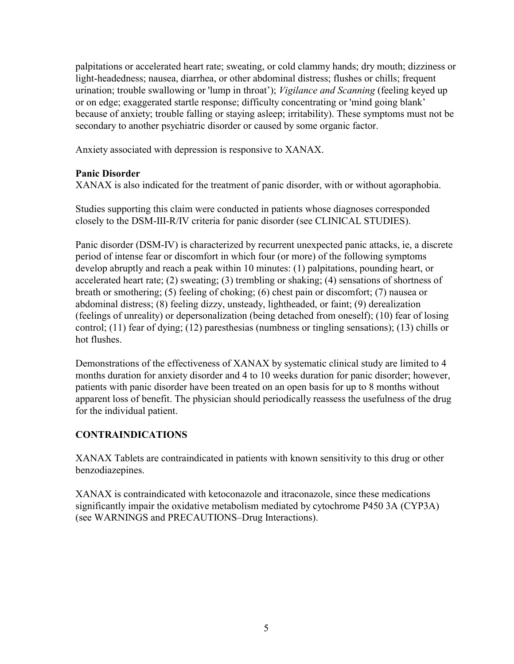palpitations or accelerated heart rate; sweating, or cold clammy hands; dry mouth; dizziness or light-headedness; nausea, diarrhea, or other abdominal distress; flushes or chills; frequent urination; trouble swallowing or 'lump in throat'); *Vigilance and Scanning* (feeling keyed up or on edge; exaggerated startle response; difficulty concentrating or 'mind going blank' because of anxiety; trouble falling or staying asleep; irritability). These symptoms must not be secondary to another psychiatric disorder or caused by some organic factor.

Anxiety associated with depression is responsive to XANAX.

# **Panic Disorder**

XANAX is also indicated for the treatment of panic disorder, with or without agoraphobia.

Studies supporting this claim were conducted in patients whose diagnoses corresponded closely to the DSM-III-R/IV criteria for panic disorder (see CLINICAL STUDIES).

Panic disorder (DSM-IV) is characterized by recurrent unexpected panic attacks, ie, a discrete period of intense fear or discomfort in which four (or more) of the following symptoms develop abruptly and reach a peak within 10 minutes: (1) palpitations, pounding heart, or accelerated heart rate; (2) sweating; (3) trembling or shaking; (4) sensations of shortness of breath or smothering; (5) feeling of choking; (6) chest pain or discomfort; (7) nausea or abdominal distress; (8) feeling dizzy, unsteady, lightheaded, or faint; (9) derealization (feelings of unreality) or depersonalization (being detached from oneself); (10) fear of losing control; (11) fear of dying; (12) paresthesias (numbness or tingling sensations); (13) chills or hot flushes.

Demonstrations of the effectiveness of XANAX by systematic clinical study are limited to 4 months duration for anxiety disorder and 4 to 10 weeks duration for panic disorder; however, patients with panic disorder have been treated on an open basis for up to 8 months without apparent loss of benefit. The physician should periodically reassess the usefulness of the drug for the individual patient.

# **CONTRAINDICATIONS**

XANAX Tablets are contraindicated in patients with known sensitivity to this drug or other benzodiazepines.

XANAX is contraindicated with ketoconazole and itraconazole, since these medications significantly impair the oxidative metabolism mediated by cytochrome P450 3A (CYP3A) (see WARNINGS and PRECAUTIONS–Drug Interactions).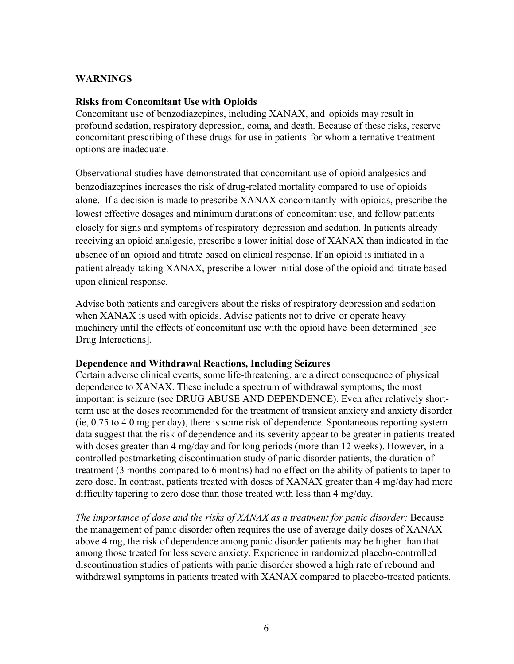# **WARNINGS**

#### **Risks from Concomitant Use with Opioids**

Concomitant use of benzodiazepines, including XANAX, and opioids may result in profound sedation, respiratory depression, coma, and death. Because of these risks, reserve concomitant prescribing of these drugs for use in patients for whom alternative treatment options are inadequate.

Observational studies have demonstrated that concomitant use of opioid analgesics and benzodiazepines increases the risk of drug-related mortality compared to use of opioids alone. If a decision is made to prescribe XANAX concomitantly with opioids, prescribe the lowest effective dosages and minimum durations of concomitant use, and follow patients closely for signs and symptoms of respiratory depression and sedation. In patients already receiving an opioid analgesic, prescribe a lower initial dose of XANAX than indicated in the absence of an opioid and titrate based on clinical response. If an opioid is initiated in a patient already taking XANAX, prescribe a lower initial dose of the opioid and titrate based upon clinical response.

Advise both patients and caregivers about the risks of respiratory depression and sedation when XANAX is used with opioids. Advise patients not to drive or operate heavy machinery until the effects of concomitant use with the opioid have been determined [see Drug Interactions].

#### **Dependence and Withdrawal Reactions, Including Seizures**

Certain adverse clinical events, some life-threatening, are a direct consequence of physical dependence to XANAX. These include a spectrum of withdrawal symptoms; the most important is seizure (see DRUG ABUSE AND DEPENDENCE). Even after relatively shortterm use at the doses recommended for the treatment of transient anxiety and anxiety disorder (ie, 0.75 to 4.0 mg per day), there is some risk of dependence. Spontaneous reporting system data suggest that the risk of dependence and its severity appear to be greater in patients treated with doses greater than 4 mg/day and for long periods (more than 12 weeks). However, in a controlled postmarketing discontinuation study of panic disorder patients, the duration of treatment (3 months compared to 6 months) had no effect on the ability of patients to taper to zero dose. In contrast, patients treated with doses of XANAX greater than 4 mg/day had more difficulty tapering to zero dose than those treated with less than 4 mg/day.

*The importance of dose and the risks of XANAX as a treatment for panic disorder:* Because the management of panic disorder often requires the use of average daily doses of XANAX above 4 mg, the risk of dependence among panic disorder patients may be higher than that among those treated for less severe anxiety. Experience in randomized placebo-controlled discontinuation studies of patients with panic disorder showed a high rate of rebound and withdrawal symptoms in patients treated with XANAX compared to placebo-treated patients.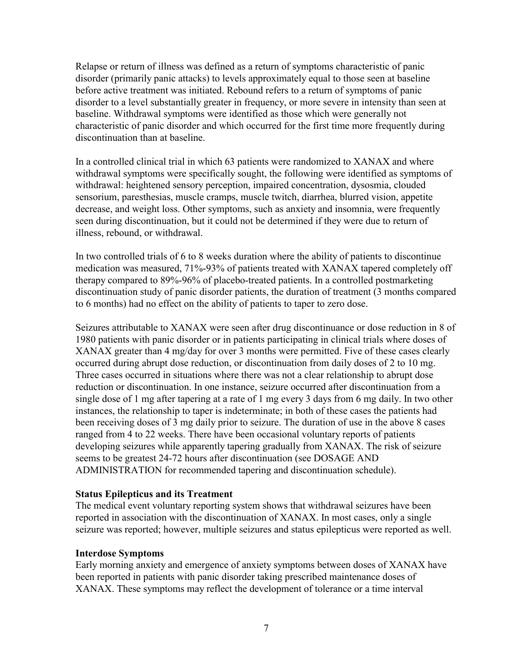Relapse or return of illness was defined as a return of symptoms characteristic of panic disorder (primarily panic attacks) to levels approximately equal to those seen at baseline before active treatment was initiated. Rebound refers to a return of symptoms of panic disorder to a level substantially greater in frequency, or more severe in intensity than seen at baseline. Withdrawal symptoms were identified as those which were generally not characteristic of panic disorder and which occurred for the first time more frequently during discontinuation than at baseline.

In a controlled clinical trial in which 63 patients were randomized to XANAX and where withdrawal symptoms were specifically sought, the following were identified as symptoms of withdrawal: heightened sensory perception, impaired concentration, dysosmia, clouded sensorium, paresthesias, muscle cramps, muscle twitch, diarrhea, blurred vision, appetite decrease, and weight loss. Other symptoms, such as anxiety and insomnia, were frequently seen during discontinuation, but it could not be determined if they were due to return of illness, rebound, or withdrawal.

In two controlled trials of 6 to 8 weeks duration where the ability of patients to discontinue medication was measured, 71%-93% of patients treated with XANAX tapered completely off therapy compared to 89%-96% of placebo-treated patients. In a controlled postmarketing discontinuation study of panic disorder patients, the duration of treatment (3 months compared to 6 months) had no effect on the ability of patients to taper to zero dose.

Seizures attributable to XANAX were seen after drug discontinuance or dose reduction in 8 of 1980 patients with panic disorder or in patients participating in clinical trials where doses of XANAX greater than 4 mg/day for over 3 months were permitted. Five of these cases clearly occurred during abrupt dose reduction, or discontinuation from daily doses of 2 to 10 mg. Three cases occurred in situations where there was not a clear relationship to abrupt dose reduction or discontinuation. In one instance, seizure occurred after discontinuation from a single dose of 1 mg after tapering at a rate of 1 mg every 3 days from 6 mg daily. In two other instances, the relationship to taper is indeterminate; in both of these cases the patients had been receiving doses of 3 mg daily prior to seizure. The duration of use in the above 8 cases ranged from 4 to 22 weeks. There have been occasional voluntary reports of patients developing seizures while apparently tapering gradually from XANAX. The risk of seizure seems to be greatest 24-72 hours after discontinuation (see DOSAGE AND ADMINISTRATION for recommended tapering and discontinuation schedule).

# **Status Epilepticus and its Treatment**

The medical event voluntary reporting system shows that withdrawal seizures have been reported in association with the discontinuation of XANAX. In most cases, only a single seizure was reported; however, multiple seizures and status epilepticus were reported as well.

#### **Interdose Symptoms**

Early morning anxiety and emergence of anxiety symptoms between doses of XANAX have been reported in patients with panic disorder taking prescribed maintenance doses of XANAX. These symptoms may reflect the development of tolerance or a time interval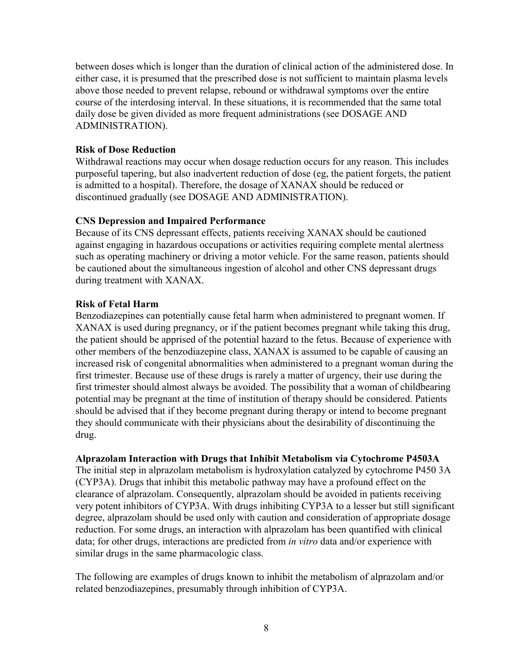between doses which is longer than the duration of clinical action of the administered dose. In either case, it is presumed that the prescribed dose is not sufficient to maintain plasma levels above those needed to prevent relapse, rebound or withdrawal symptoms over the entire course of the interdosing interval. In these situations, it is recommended that the same total daily dose be given divided as more frequent administrations (see DOSAGE AND ADMINISTRATION).

### **Risk of Dose Reduction**

Withdrawal reactions may occur when dosage reduction occurs for any reason. This includes purposeful tapering, but also inadvertent reduction of dose (eg, the patient forgets, the patient is admitted to a hospital). Therefore, the dosage of XANAX should be reduced or discontinued gradually (see DOSAGE AND ADMINISTRATION).

### **CNS Depression and Impaired Performance**

Because of its CNS depressant effects, patients receiving XANAX should be cautioned against engaging in hazardous occupations or activities requiring complete mental alertness such as operating machinery or driving a motor vehicle. For the same reason, patients should be cautioned about the simultaneous ingestion of alcohol and other CNS depressant drugs during treatment with XANAX.

# **Risk of Fetal Harm**

Benzodiazepines can potentially cause fetal harm when administered to pregnant women. If XANAX is used during pregnancy, or if the patient becomes pregnant while taking this drug, the patient should be apprised of the potential hazard to the fetus. Because of experience with other members of the benzodiazepine class, XANAX is assumed to be capable of causing an increased risk of congenital abnormalities when administered to a pregnant woman during the first trimester. Because use of these drugs is rarely a matter of urgency, their use during the first trimester should almost always be avoided. The possibility that a woman of childbearing potential may be pregnant at the time of institution of therapy should be considered. Patients should be advised that if they become pregnant during therapy or intend to become pregnant they should communicate with their physicians about the desirability of discontinuing the drug.

# **Alprazolam Interaction with Drugs that Inhibit Metabolism via Cytochrome P4503A**

The initial step in alprazolam metabolism is hydroxylation catalyzed by cytochrome P450 3A (CYP3A). Drugs that inhibit this metabolic pathway may have a profound effect on the clearance of alprazolam. Consequently, alprazolam should be avoided in patients receiving very potent inhibitors of CYP3A. With drugs inhibiting CYP3A to a lesser but still significant degree, alprazolam should be used only with caution and consideration of appropriate dosage reduction. For some drugs, an interaction with alprazolam has been quantified with clinical data; for other drugs, interactions are predicted from *in vitro* data and/or experience with similar drugs in the same pharmacologic class.

The following are examples of drugs known to inhibit the metabolism of alprazolam and/or related benzodiazepines, presumably through inhibition of CYP3A.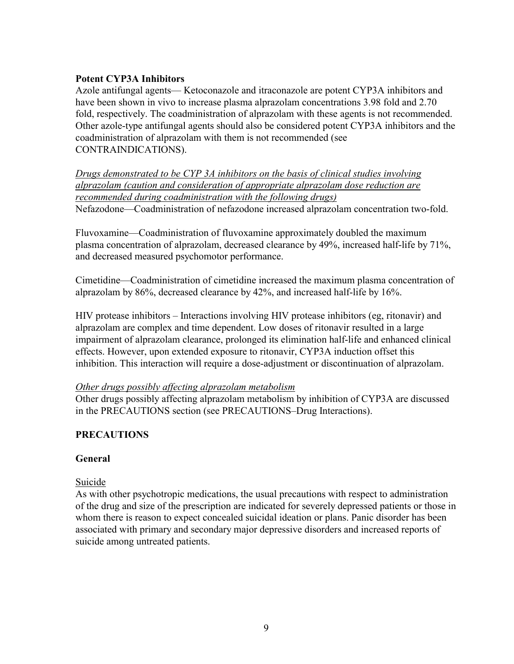# **Potent CYP3A Inhibitors**

Azole antifungal agents— Ketoconazole and itraconazole are potent CYP3A inhibitors and have been shown in vivo to increase plasma alprazolam concentrations 3.98 fold and 2.70 fold, respectively. The coadministration of alprazolam with these agents is not recommended. Other azole-type antifungal agents should also be considered potent CYP3A inhibitors and the coadministration of alprazolam with them is not recommended (see CONTRAINDICATIONS).

*Drugs demonstrated to be CYP 3A inhibitors on the basis of clinical studies involving alprazolam (caution and consideration of appropriate alprazolam dose reduction are recommended during coadministration with the following drugs)* Nefazodone—Coadministration of nefazodone increased alprazolam concentration two-fold.

Fluvoxamine—Coadministration of fluvoxamine approximately doubled the maximum plasma concentration of alprazolam, decreased clearance by 49%, increased half-life by 71%, and decreased measured psychomotor performance.

Cimetidine—Coadministration of cimetidine increased the maximum plasma concentration of alprazolam by 86%, decreased clearance by 42%, and increased half-life by 16%.

HIV protease inhibitors – Interactions involving HIV protease inhibitors (eg, ritonavir) and alprazolam are complex and time dependent. Low doses of ritonavir resulted in a large impairment of alprazolam clearance, prolonged its elimination half-life and enhanced clinical effects. However, upon extended exposure to ritonavir, CYP3A induction offset this inhibition. This interaction will require a dose-adjustment or discontinuation of alprazolam.

# *Other drugs possibly affecting alprazolam metabolism*

Other drugs possibly affecting alprazolam metabolism by inhibition of CYP3A are discussed in the PRECAUTIONS section (see PRECAUTIONS–Drug Interactions).

# **PRECAUTIONS**

# **General**

# Suicide

As with other psychotropic medications, the usual precautions with respect to administration of the drug and size of the prescription are indicated for severely depressed patients or those in whom there is reason to expect concealed suicidal ideation or plans. Panic disorder has been associated with primary and secondary major depressive disorders and increased reports of suicide among untreated patients.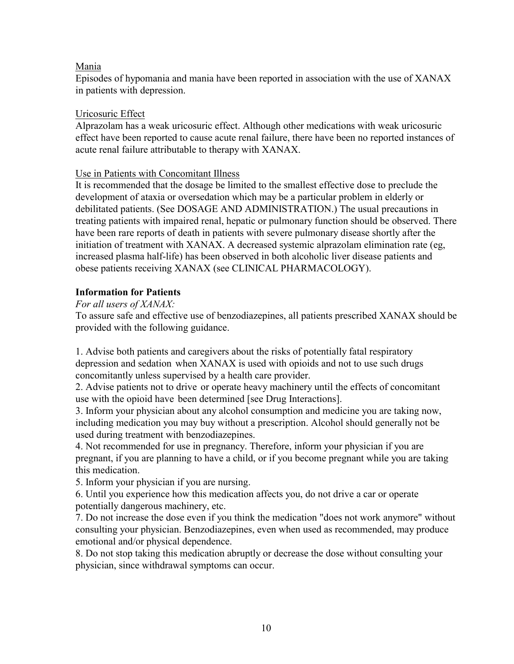# Mania

Episodes of hypomania and mania have been reported in association with the use of XANAX in patients with depression.

### Uricosuric Effect

Alprazolam has a weak uricosuric effect. Although other medications with weak uricosuric effect have been reported to cause acute renal failure, there have been no reported instances of acute renal failure attributable to therapy with XANAX.

### Use in Patients with Concomitant Illness

It is recommended that the dosage be limited to the smallest effective dose to preclude the development of ataxia or oversedation which may be a particular problem in elderly or debilitated patients. (See DOSAGE AND ADMINISTRATION.) The usual precautions in treating patients with impaired renal, hepatic or pulmonary function should be observed. There have been rare reports of death in patients with severe pulmonary disease shortly after the initiation of treatment with XANAX. A decreased systemic alprazolam elimination rate (eg, increased plasma half-life) has been observed in both alcoholic liver disease patients and obese patients receiving XANAX (see CLINICAL PHARMACOLOGY).

# **Information for Patients**

*For all users of XANAX:*

To assure safe and effective use of benzodiazepines, all patients prescribed XANAX should be provided with the following guidance.

1. Advise both patients and caregivers about the risks of potentially fatal respiratory depression and sedation when XANAX is used with opioids and not to use such drugs concomitantly unless supervised by a health care provider.

2. Advise patients not to drive or operate heavy machinery until the effects of concomitant use with the opioid have been determined [see Drug Interactions].

3. Inform your physician about any alcohol consumption and medicine you are taking now, including medication you may buy without a prescription. Alcohol should generally not be used during treatment with benzodiazepines.

4. Not recommended for use in pregnancy. Therefore, inform your physician if you are pregnant, if you are planning to have a child, or if you become pregnant while you are taking this medication.

5. Inform your physician if you are nursing.

6. Until you experience how this medication affects you, do not drive a car or operate potentially dangerous machinery, etc.

7. Do not increase the dose even if you think the medication "does not work anymore" without consulting your physician. Benzodiazepines, even when used as recommended, may produce emotional and/or physical dependence.

8. Do not stop taking this medication abruptly or decrease the dose without consulting your physician, since withdrawal symptoms can occur.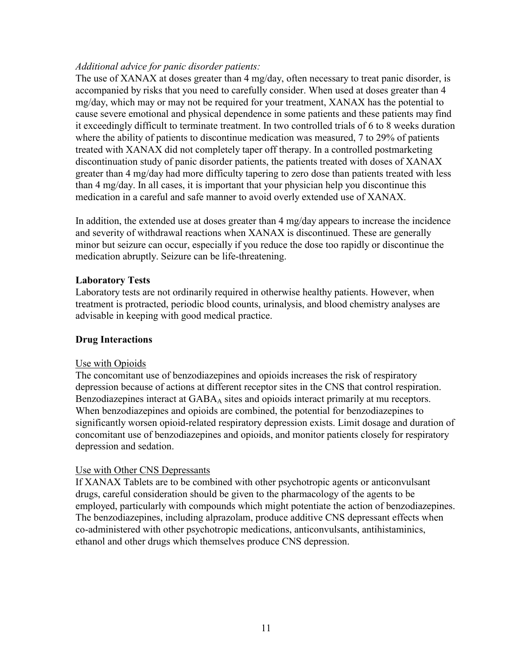## *Additional advice for panic disorder patients:*

The use of XANAX at doses greater than 4 mg/day, often necessary to treat panic disorder, is accompanied by risks that you need to carefully consider. When used at doses greater than 4 mg/day, which may or may not be required for your treatment, XANAX has the potential to cause severe emotional and physical dependence in some patients and these patients may find it exceedingly difficult to terminate treatment. In two controlled trials of 6 to 8 weeks duration where the ability of patients to discontinue medication was measured, 7 to 29% of patients treated with XANAX did not completely taper off therapy. In a controlled postmarketing discontinuation study of panic disorder patients, the patients treated with doses of XANAX greater than 4 mg/day had more difficulty tapering to zero dose than patients treated with less than 4 mg/day. In all cases, it is important that your physician help you discontinue this medication in a careful and safe manner to avoid overly extended use of XANAX.

In addition, the extended use at doses greater than 4 mg/day appears to increase the incidence and severity of withdrawal reactions when XANAX is discontinued. These are generally minor but seizure can occur, especially if you reduce the dose too rapidly or discontinue the medication abruptly. Seizure can be life-threatening.

#### **Laboratory Tests**

Laboratory tests are not ordinarily required in otherwise healthy patients. However, when treatment is protracted, periodic blood counts, urinalysis, and blood chemistry analyses are advisable in keeping with good medical practice.

#### **Drug Interactions**

#### Use with Opioids

The concomitant use of benzodiazepines and opioids increases the risk of respiratory depression because of actions at different receptor sites in the CNS that control respiration. Benzodiazepines interact at  $GABA_A$  sites and opioids interact primarily at mu receptors. When benzodiazepines and opioids are combined, the potential for benzodiazepines to significantly worsen opioid-related respiratory depression exists. Limit dosage and duration of concomitant use of benzodiazepines and opioids, and monitor patients closely for respiratory depression and sedation.

#### Use with Other CNS Depressants

If XANAX Tablets are to be combined with other psychotropic agents or anticonvulsant drugs, careful consideration should be given to the pharmacology of the agents to be employed, particularly with compounds which might potentiate the action of benzodiazepines. The benzodiazepines, including alprazolam, produce additive CNS depressant effects when co-administered with other psychotropic medications, anticonvulsants, antihistaminics, ethanol and other drugs which themselves produce CNS depression.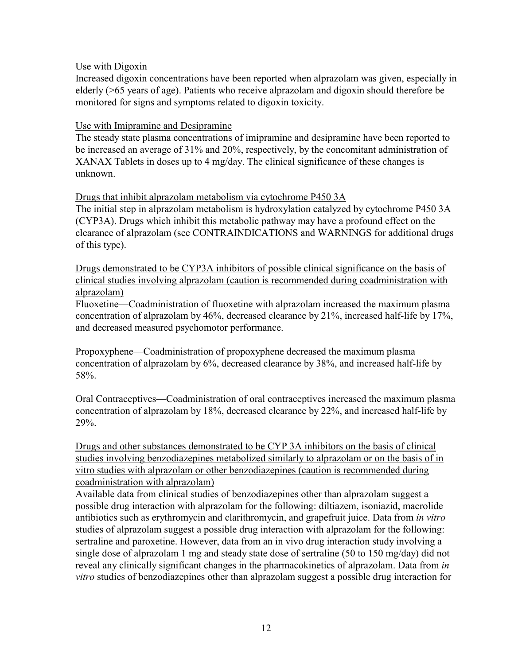### Use with Digoxin

Increased digoxin concentrations have been reported when alprazolam was given, especially in elderly (>65 years of age). Patients who receive alprazolam and digoxin should therefore be monitored for signs and symptoms related to digoxin toxicity.

#### Use with Imipramine and Desipramine

The steady state plasma concentrations of imipramine and desipramine have been reported to be increased an average of 31% and 20%, respectively, by the concomitant administration of XANAX Tablets in doses up to 4 mg/day. The clinical significance of these changes is unknown.

#### Drugs that inhibit alprazolam metabolism via cytochrome P450 3A

The initial step in alprazolam metabolism is hydroxylation catalyzed by cytochrome P450 3A (CYP3A). Drugs which inhibit this metabolic pathway may have a profound effect on the clearance of alprazolam (see CONTRAINDICATIONS and WARNINGS for additional drugs of this type).

Drugs demonstrated to be CYP3A inhibitors of possible clinical significance on the basis of clinical studies involving alprazolam (caution is recommended during coadministration with alprazolam)

Fluoxetine—Coadministration of fluoxetine with alprazolam increased the maximum plasma concentration of alprazolam by 46%, decreased clearance by 21%, increased half-life by 17%, and decreased measured psychomotor performance.

Propoxyphene—Coadministration of propoxyphene decreased the maximum plasma concentration of alprazolam by 6%, decreased clearance by 38%, and increased half-life by 58%.

Oral Contraceptives—Coadministration of oral contraceptives increased the maximum plasma concentration of alprazolam by 18%, decreased clearance by 22%, and increased half-life by 29%.

Drugs and other substances demonstrated to be CYP 3A inhibitors on the basis of clinical studies involving benzodiazepines metabolized similarly to alprazolam or on the basis of in vitro studies with alprazolam or other benzodiazepines (caution is recommended during coadministration with alprazolam)

Available data from clinical studies of benzodiazepines other than alprazolam suggest a possible drug interaction with alprazolam for the following: diltiazem, isoniazid, macrolide antibiotics such as erythromycin and clarithromycin, and grapefruit juice. Data from *in vitro* studies of alprazolam suggest a possible drug interaction with alprazolam for the following: sertraline and paroxetine. However, data from an in vivo drug interaction study involving a single dose of alprazolam 1 mg and steady state dose of sertraline (50 to 150 mg/day) did not reveal any clinically significant changes in the pharmacokinetics of alprazolam. Data from *in vitro* studies of benzodiazepines other than alprazolam suggest a possible drug interaction for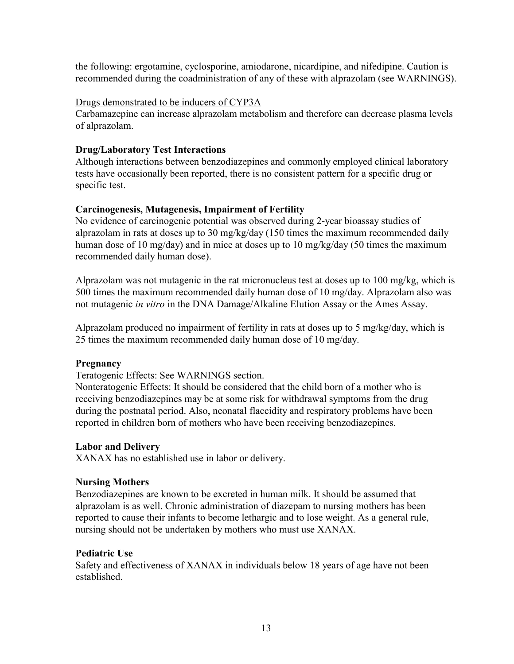the following: ergotamine, cyclosporine, amiodarone, nicardipine, and nifedipine. Caution is recommended during the coadministration of any of these with alprazolam (see WARNINGS).

#### Drugs demonstrated to be inducers of CYP3A

Carbamazepine can increase alprazolam metabolism and therefore can decrease plasma levels of alprazolam.

## **Drug/Laboratory Test Interactions**

Although interactions between benzodiazepines and commonly employed clinical laboratory tests have occasionally been reported, there is no consistent pattern for a specific drug or specific test.

# **Carcinogenesis, Mutagenesis, Impairment of Fertility**

No evidence of carcinogenic potential was observed during 2-year bioassay studies of alprazolam in rats at doses up to 30 mg/kg/day (150 times the maximum recommended daily human dose of 10 mg/day) and in mice at doses up to 10 mg/kg/day (50 times the maximum recommended daily human dose).

Alprazolam was not mutagenic in the rat micronucleus test at doses up to 100 mg/kg, which is 500 times the maximum recommended daily human dose of 10 mg/day. Alprazolam also was not mutagenic *in vitro* in the DNA Damage/Alkaline Elution Assay or the Ames Assay.

Alprazolam produced no impairment of fertility in rats at doses up to 5 mg/kg/day, which is 25 times the maximum recommended daily human dose of 10 mg/day.

#### **Pregnancy**

Teratogenic Effects: See WARNINGS section.

Nonteratogenic Effects: It should be considered that the child born of a mother who is receiving benzodiazepines may be at some risk for withdrawal symptoms from the drug during the postnatal period. Also, neonatal flaccidity and respiratory problems have been reported in children born of mothers who have been receiving benzodiazepines.

# **Labor and Delivery**

XANAX has no established use in labor or delivery.

# **Nursing Mothers**

Benzodiazepines are known to be excreted in human milk. It should be assumed that alprazolam is as well. Chronic administration of diazepam to nursing mothers has been reported to cause their infants to become lethargic and to lose weight. As a general rule, nursing should not be undertaken by mothers who must use XANAX.

#### **Pediatric Use**

Safety and effectiveness of XANAX in individuals below 18 years of age have not been established.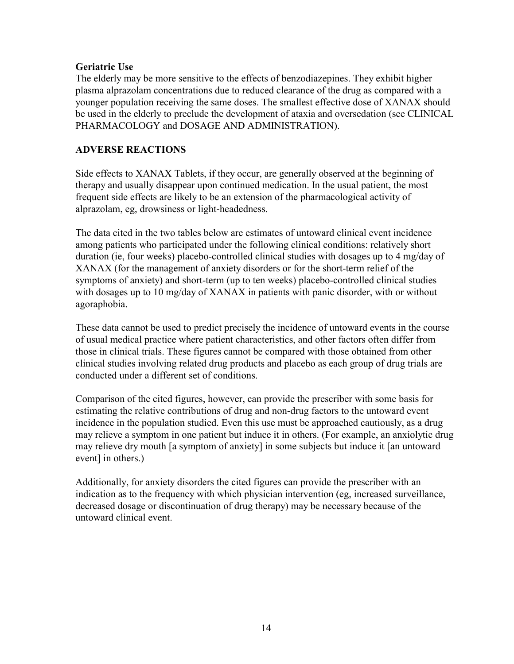## **Geriatric Use**

The elderly may be more sensitive to the effects of benzodiazepines. They exhibit higher plasma alprazolam concentrations due to reduced clearance of the drug as compared with a younger population receiving the same doses. The smallest effective dose of XANAX should be used in the elderly to preclude the development of ataxia and oversedation (see CLINICAL PHARMACOLOGY and DOSAGE AND ADMINISTRATION).

# **ADVERSE REACTIONS**

Side effects to XANAX Tablets, if they occur, are generally observed at the beginning of therapy and usually disappear upon continued medication. In the usual patient, the most frequent side effects are likely to be an extension of the pharmacological activity of alprazolam, eg, drowsiness or light-headedness.

The data cited in the two tables below are estimates of untoward clinical event incidence among patients who participated under the following clinical conditions: relatively short duration (ie, four weeks) placebo-controlled clinical studies with dosages up to 4 mg/day of XANAX (for the management of anxiety disorders or for the short-term relief of the symptoms of anxiety) and short-term (up to ten weeks) placebo-controlled clinical studies with dosages up to 10 mg/day of XANAX in patients with panic disorder, with or without agoraphobia.

These data cannot be used to predict precisely the incidence of untoward events in the course of usual medical practice where patient characteristics, and other factors often differ from those in clinical trials. These figures cannot be compared with those obtained from other clinical studies involving related drug products and placebo as each group of drug trials are conducted under a different set of conditions.

Comparison of the cited figures, however, can provide the prescriber with some basis for estimating the relative contributions of drug and non-drug factors to the untoward event incidence in the population studied. Even this use must be approached cautiously, as a drug may relieve a symptom in one patient but induce it in others. (For example, an anxiolytic drug may relieve dry mouth [a symptom of anxiety] in some subjects but induce it [an untoward event] in others.)

Additionally, for anxiety disorders the cited figures can provide the prescriber with an indication as to the frequency with which physician intervention (eg, increased surveillance, decreased dosage or discontinuation of drug therapy) may be necessary because of the untoward clinical event.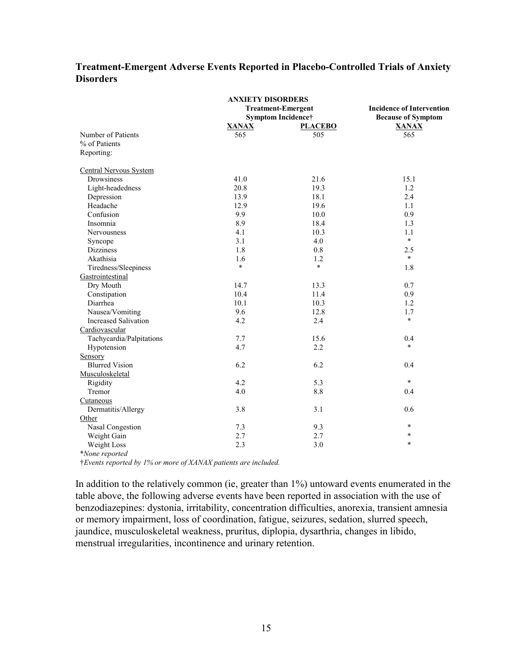# **Treatment-Emergent Adverse Events Reported in Placebo-Controlled Trials of Anxiety Disorders**

| <b>ANXIETY DISORDERS</b>      |                                                 |                |                                                               |  |
|-------------------------------|-------------------------------------------------|----------------|---------------------------------------------------------------|--|
|                               | <b>Treatment-Emergent</b><br>Symptom Incidence† |                | <b>Incidence of Intervention</b><br><b>Because of Symptom</b> |  |
|                               |                                                 |                |                                                               |  |
|                               | <b>XANAX</b>                                    | <b>PLACEBO</b> | <b>XANAX</b>                                                  |  |
| Number of Patients            | 565                                             | 505            | 565                                                           |  |
| % of Patients                 |                                                 |                |                                                               |  |
| Reporting:                    |                                                 |                |                                                               |  |
| <b>Central Nervous System</b> |                                                 |                |                                                               |  |
| Drowsiness                    | 41.0                                            | 21.6           | 15.1                                                          |  |
| Light-headedness              | 20.8                                            | 19.3           | 1.2                                                           |  |
| Depression                    | 13.9                                            | 18.1           | 2.4                                                           |  |
| Headache                      | 12.9                                            | 19.6           | 1.1                                                           |  |
| Confusion                     | 9.9                                             | 10.0           | 0.9                                                           |  |
| Insomnia                      | 8.9                                             | 18.4           | 1.3                                                           |  |
| Nervousness                   | 4.1                                             | 10.3           | 1.1                                                           |  |
| Syncope                       | 3.1                                             | 4.0            | $\ast$                                                        |  |
| <b>Dizziness</b>              | 1.8                                             | 0.8            | 2.5                                                           |  |
| Akathisia                     | 1.6                                             | 1.2            | $\ast$                                                        |  |
| Tiredness/Sleepiness          | $\ast$                                          | $\ast$         | 1.8                                                           |  |
| Gastrointestinal              |                                                 |                |                                                               |  |
| Dry Mouth                     | 14.7                                            | 13.3           | 0.7                                                           |  |
| Constipation                  | 10.4                                            | 11.4           | 0.9                                                           |  |
| Diarrhea                      | 10.1                                            | 10.3           | 1.2                                                           |  |
| Nausea/Vomiting               | 9.6                                             | 12.8           | 1.7                                                           |  |
| <b>Increased Salivation</b>   | 4.2                                             | 2.4            | $\ast$                                                        |  |
| Cardiovascular                |                                                 |                |                                                               |  |
| Tachycardia/Palpitations      | 7.7                                             | 15.6           | 0.4                                                           |  |
| Hypotension                   | 4.7                                             | 2.2            | $\ast$                                                        |  |
| Sensory                       |                                                 |                |                                                               |  |
| <b>Blurred Vision</b>         | 6.2                                             | 6.2            | 0.4                                                           |  |
| Musculoskeletal               |                                                 |                |                                                               |  |
| Rigidity                      | 4.2                                             | 5.3            | $\ast$                                                        |  |
| Tremor                        | 4.0                                             | 8.8            | 0.4                                                           |  |
| Cutaneous                     |                                                 |                |                                                               |  |
| Dermatitis/Allergy            | 3.8                                             | 3.1            | 0.6                                                           |  |
| Other                         |                                                 |                |                                                               |  |
| Nasal Congestion              | 7.3                                             | 9.3            | $\ast$                                                        |  |
| Weight Gain                   | 2.7                                             | 2.7            | $\ast$                                                        |  |
| Weight Loss                   | 2.3                                             | 3.0            | $\ast$                                                        |  |
| *None reported                |                                                 |                |                                                               |  |

†*Events reported by 1% or more of XANAX patients are included.*

In addition to the relatively common (ie, greater than 1%) untoward events enumerated in the table above, the following adverse events have been reported in association with the use of benzodiazepines: dystonia, irritability, concentration difficulties, anorexia, transient amnesia or memory impairment, loss of coordination, fatigue, seizures, sedation, slurred speech, jaundice, musculoskeletal weakness, pruritus, diplopia, dysarthria, changes in libido, menstrual irregularities, incontinence and urinary retention.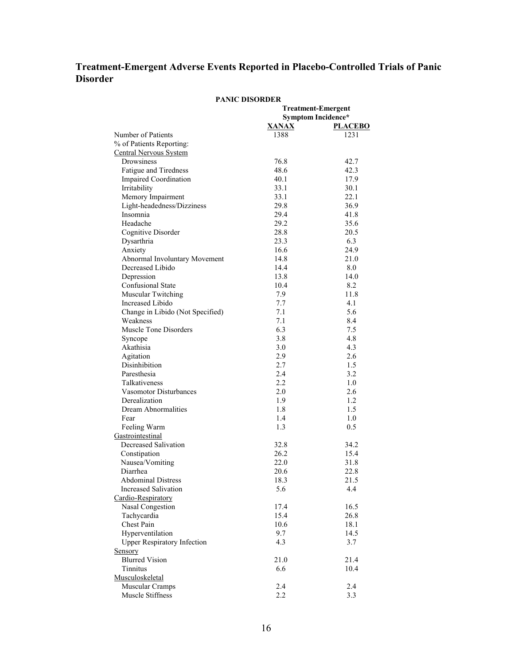# **Treatment-Emergent Adverse Events Reported in Placebo-Controlled Trials of Panic Disorder**

|                                    | <b>Treatment-Emergent</b><br><b>Symptom Incidence*</b> |                |
|------------------------------------|--------------------------------------------------------|----------------|
|                                    | <b>XANAX</b>                                           | <b>PLACEBO</b> |
| Number of Patients                 | 1388                                                   | 1231           |
| % of Patients Reporting:           |                                                        |                |
| Central Nervous System             |                                                        |                |
| <b>Drowsiness</b>                  | 76.8                                                   | 42.7           |
| Fatigue and Tiredness              | 48.6                                                   | 42.3           |
| <b>Impaired Coordination</b>       | 40.1                                                   | 17.9           |
| Irritability                       | 33.1                                                   | 30.1           |
| Memory Impairment                  | 33.1                                                   | 22.1           |
| Light-headedness/Dizziness         | 29.8                                                   | 36.9           |
| Insomnia                           | 29.4                                                   | 41.8           |
| Headache                           | 29.2                                                   | 35.6           |
| Cognitive Disorder                 | 28.8                                                   | 20.5           |
| Dysarthria                         | 23.3                                                   | 6.3            |
| Anxiety                            | 16.6                                                   | 24.9           |
| Abnormal Involuntary Movement      | 14.8                                                   | 21.0           |
| Decreased Libido                   | 14.4                                                   | 8.0            |
| Depression                         | 13.8                                                   | 14.0           |
| Confusional State                  | 10.4                                                   | 8.2            |
| Muscular Twitching                 | 7.9                                                    | 11.8           |
| Increased Libido                   | 7.7                                                    | 4.1            |
|                                    | 7.1                                                    | 5.6            |
| Change in Libido (Not Specified)   |                                                        |                |
| Weakness                           | 7.1                                                    | 8.4            |
| Muscle Tone Disorders              | 6.3                                                    | 7.5            |
| Syncope                            | 3.8                                                    | 4.8            |
| Akathisia                          | 3.0                                                    | 4.3            |
| Agitation                          | 2.9                                                    | 2.6            |
| Disinhibition                      | 2.7                                                    | 1.5            |
| Paresthesia                        | 2.4                                                    | 3.2            |
| Talkativeness                      | 2.2                                                    | 1.0            |
| Vasomotor Disturbances             | 2.0                                                    | 2.6            |
| Derealization                      | 1.9                                                    | 1.2            |
| Dream Abnormalities                | 1.8                                                    | 1.5            |
| Fear                               | 1.4                                                    | 1.0            |
| Feeling Warm                       | 1.3                                                    | 0.5            |
| Gastrointestinal                   |                                                        |                |
| Decreased Salivation               | 32.8                                                   | 34.2           |
| Constipation                       | 26.2                                                   | 15.4           |
| Nausea/Vomiting                    | 22.0                                                   | 31.8           |
| Diarrhea                           | 20.6                                                   | 22.8           |
| <b>Abdominal Distress</b>          | 18.3                                                   | 21.5           |
| <b>Increased Salivation</b>        | 5.6                                                    | 4.4            |
| Cardio-Respiratory                 |                                                        |                |
| Nasal Congestion                   | 17.4                                                   | 16.5           |
| Tachycardia                        | 15.4                                                   | 26.8           |
| <b>Chest Pain</b>                  | 10.6                                                   | 18.1           |
| Hyperventilation                   | 9.7                                                    | 14.5           |
| <b>Upper Respiratory Infection</b> | 4.3                                                    | 3.7            |
| Sensory                            |                                                        |                |
| <b>Blurred Vision</b>              | 21.0                                                   | 21.4           |
| Tinnitus                           | 6.6                                                    | 10.4           |
| Musculoskeletal                    |                                                        |                |
| Muscular Cramps                    | 2.4                                                    | 2.4            |
| Muscle Stiffness                   | 2.2                                                    | 3.3            |
|                                    |                                                        |                |

#### **PANIC DISORDER**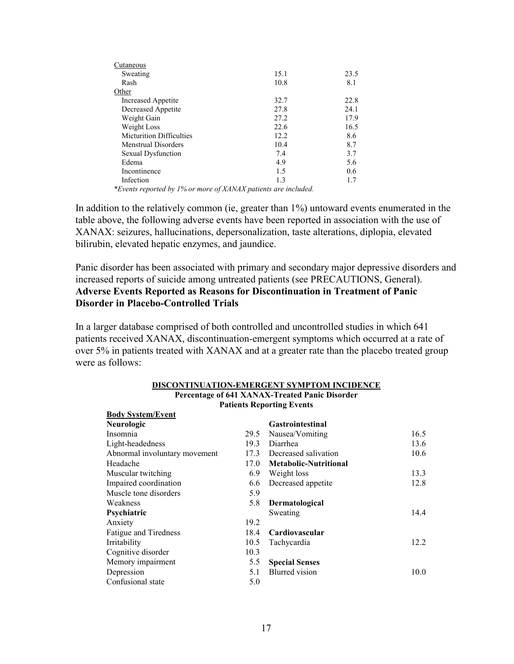| Cutaneous                       |      |      |
|---------------------------------|------|------|
| Sweating                        | 15.1 | 23.5 |
| Rash                            | 10.8 | 8.1  |
| Other                           |      |      |
| Increased Appetite              | 32.7 | 22.8 |
| Decreased Appetite              | 27.8 | 24.1 |
| Weight Gain                     | 27.2 | 17.9 |
| Weight Loss                     | 22.6 | 16.5 |
| <b>Micturition Difficulties</b> | 12.2 | 8.6  |
| <b>Menstrual Disorders</b>      | 10.4 | 8.7  |
| <b>Sexual Dysfunction</b>       | 7.4  | 3.7  |
| Edema                           | 4.9  | 5.6  |
| Incontinence                    | 1.5  | 0.6  |
| Infection                       | 1.3  | 1.7  |
|                                 |      |      |

\**Events reported by 1% or more of XANAX patients are included.*

In addition to the relatively common (ie, greater than 1%) untoward events enumerated in the table above, the following adverse events have been reported in association with the use of XANAX: seizures, hallucinations, depersonalization, taste alterations, diplopia, elevated bilirubin, elevated hepatic enzymes, and jaundice.

Panic disorder has been associated with primary and secondary major depressive disorders and increased reports of suicide among untreated patients (see PRECAUTIONS, General). **Adverse Events Reported as Reasons for Discontinuation in Treatment of Panic Disorder in Placebo-Controlled Trials**

In a larger database comprised of both controlled and uncontrolled studies in which 641 patients received XANAX, discontinuation-emergent symptoms which occurred at a rate of over 5% in patients treated with XANAX and at a greater rate than the placebo treated group were as follows:

**DISCONTINUATION-EMERGENT SYMPTOM INCIDENCE**

|                                  |      | DISCONTINUMENTE EMERGENT STATI TOM INCIDENCE<br>Percentage of 641 XANAX-Treated Panic Disorder |      |  |  |
|----------------------------------|------|------------------------------------------------------------------------------------------------|------|--|--|
| <b>Patients Reporting Events</b> |      |                                                                                                |      |  |  |
| <b>Body System/Event</b>         |      |                                                                                                |      |  |  |
| Neurologic                       |      | <b>Gastrointestinal</b>                                                                        |      |  |  |
| Insomnia                         | 29.5 | Nausea/Vomiting                                                                                | 16.5 |  |  |
| Light-headedness                 | 19.3 | Diarrhea                                                                                       | 13.6 |  |  |
| Abnormal involuntary movement    |      | 17.3 Decreased salivation                                                                      | 10.6 |  |  |
| Headache                         | 17.0 | <b>Metabolic-Nutritional</b>                                                                   |      |  |  |
| Muscular twitching               | 6.9  | Weight loss                                                                                    | 13.3 |  |  |
| Impaired coordination            | 6.6  | Decreased appetite                                                                             | 12.8 |  |  |
| Muscle tone disorders            | 5.9  |                                                                                                |      |  |  |
| Weakness                         | 5.8  | Dermatological                                                                                 |      |  |  |
| Psychiatric                      |      | Sweating                                                                                       | 14.4 |  |  |
| Anxiety                          | 19.2 |                                                                                                |      |  |  |
| <b>Fatigue and Tiredness</b>     | 18.4 | Cardiovascular                                                                                 |      |  |  |
| Irritability                     | 10.5 | Tachycardia                                                                                    | 12.2 |  |  |
| Cognitive disorder               | 10.3 |                                                                                                |      |  |  |
| Memory impairment                | 5.5  | <b>Special Senses</b>                                                                          |      |  |  |
| Depression                       | 5.1  | <b>Blurred</b> vision                                                                          | 10.0 |  |  |
| Confusional state                | 5.0  |                                                                                                |      |  |  |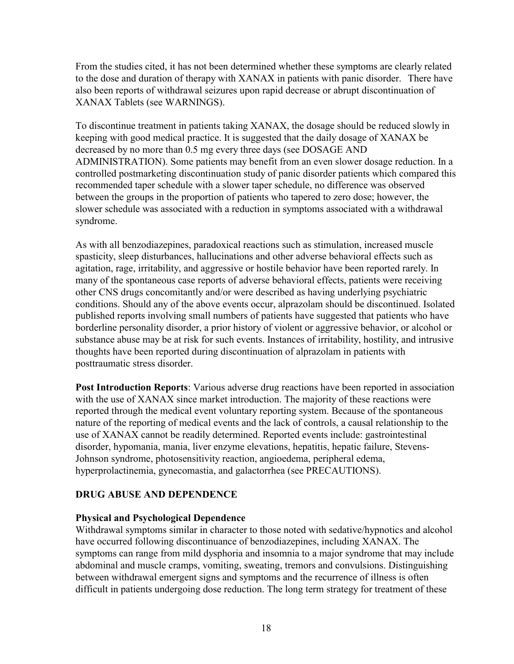From the studies cited, it has not been determined whether these symptoms are clearly related to the dose and duration of therapy with XANAX in patients with panic disorder. There have also been reports of withdrawal seizures upon rapid decrease or abrupt discontinuation of XANAX Tablets (see WARNINGS).

To discontinue treatment in patients taking XANAX, the dosage should be reduced slowly in keeping with good medical practice. It is suggested that the daily dosage of XANAX be decreased by no more than 0.5 mg every three days (see DOSAGE AND ADMINISTRATION). Some patients may benefit from an even slower dosage reduction. In a controlled postmarketing discontinuation study of panic disorder patients which compared this recommended taper schedule with a slower taper schedule, no difference was observed between the groups in the proportion of patients who tapered to zero dose; however, the slower schedule was associated with a reduction in symptoms associated with a withdrawal syndrome.

As with all benzodiazepines, paradoxical reactions such as stimulation, increased muscle spasticity, sleep disturbances, hallucinations and other adverse behavioral effects such as agitation, rage, irritability, and aggressive or hostile behavior have been reported rarely. In many of the spontaneous case reports of adverse behavioral effects, patients were receiving other CNS drugs concomitantly and/or were described as having underlying psychiatric conditions. Should any of the above events occur, alprazolam should be discontinued. Isolated published reports involving small numbers of patients have suggested that patients who have borderline personality disorder, a prior history of violent or aggressive behavior, or alcohol or substance abuse may be at risk for such events. Instances of irritability, hostility, and intrusive thoughts have been reported during discontinuation of alprazolam in patients with posttraumatic stress disorder.

**Post Introduction Reports**: Various adverse drug reactions have been reported in association with the use of XANAX since market introduction. The majority of these reactions were reported through the medical event voluntary reporting system. Because of the spontaneous nature of the reporting of medical events and the lack of controls, a causal relationship to the use of XANAX cannot be readily determined. Reported events include: gastrointestinal disorder, hypomania, mania, liver enzyme elevations, hepatitis, hepatic failure, Stevens-Johnson syndrome, photosensitivity reaction, angioedema, peripheral edema, hyperprolactinemia, gynecomastia, and galactorrhea (see PRECAUTIONS).

# **DRUG ABUSE AND DEPENDENCE**

# **Physical and Psychological Dependence**

Withdrawal symptoms similar in character to those noted with sedative/hypnotics and alcohol have occurred following discontinuance of benzodiazepines, including XANAX. The symptoms can range from mild dysphoria and insomnia to a major syndrome that may include abdominal and muscle cramps, vomiting, sweating, tremors and convulsions. Distinguishing between withdrawal emergent signs and symptoms and the recurrence of illness is often difficult in patients undergoing dose reduction. The long term strategy for treatment of these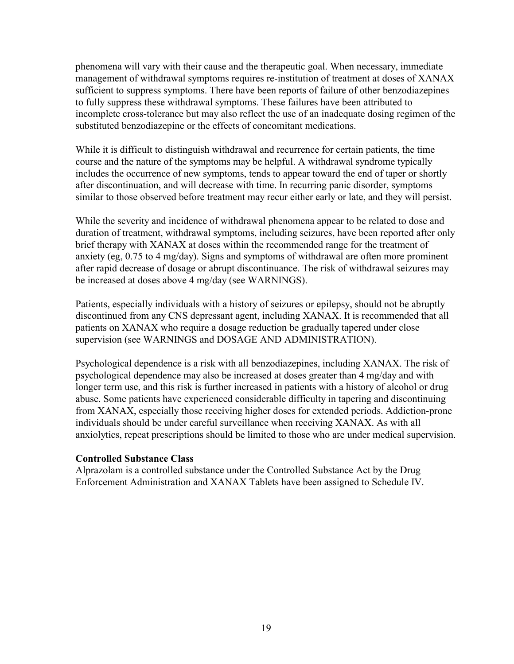phenomena will vary with their cause and the therapeutic goal. When necessary, immediate management of withdrawal symptoms requires re-institution of treatment at doses of XANAX sufficient to suppress symptoms. There have been reports of failure of other benzodiazepines to fully suppress these withdrawal symptoms. These failures have been attributed to incomplete cross-tolerance but may also reflect the use of an inadequate dosing regimen of the substituted benzodiazepine or the effects of concomitant medications.

While it is difficult to distinguish withdrawal and recurrence for certain patients, the time course and the nature of the symptoms may be helpful. A withdrawal syndrome typically includes the occurrence of new symptoms, tends to appear toward the end of taper or shortly after discontinuation, and will decrease with time. In recurring panic disorder, symptoms similar to those observed before treatment may recur either early or late, and they will persist.

While the severity and incidence of withdrawal phenomena appear to be related to dose and duration of treatment, withdrawal symptoms, including seizures, have been reported after only brief therapy with XANAX at doses within the recommended range for the treatment of anxiety (eg, 0.75 to 4 mg/day). Signs and symptoms of withdrawal are often more prominent after rapid decrease of dosage or abrupt discontinuance. The risk of withdrawal seizures may be increased at doses above 4 mg/day (see WARNINGS).

Patients, especially individuals with a history of seizures or epilepsy, should not be abruptly discontinued from any CNS depressant agent, including XANAX. It is recommended that all patients on XANAX who require a dosage reduction be gradually tapered under close supervision (see WARNINGS and DOSAGE AND ADMINISTRATION).

Psychological dependence is a risk with all benzodiazepines, including XANAX. The risk of psychological dependence may also be increased at doses greater than 4 mg/day and with longer term use, and this risk is further increased in patients with a history of alcohol or drug abuse. Some patients have experienced considerable difficulty in tapering and discontinuing from XANAX, especially those receiving higher doses for extended periods. Addiction-prone individuals should be under careful surveillance when receiving XANAX. As with all anxiolytics, repeat prescriptions should be limited to those who are under medical supervision.

# **Controlled Substance Class**

Alprazolam is a controlled substance under the Controlled Substance Act by the Drug Enforcement Administration and XANAX Tablets have been assigned to Schedule IV.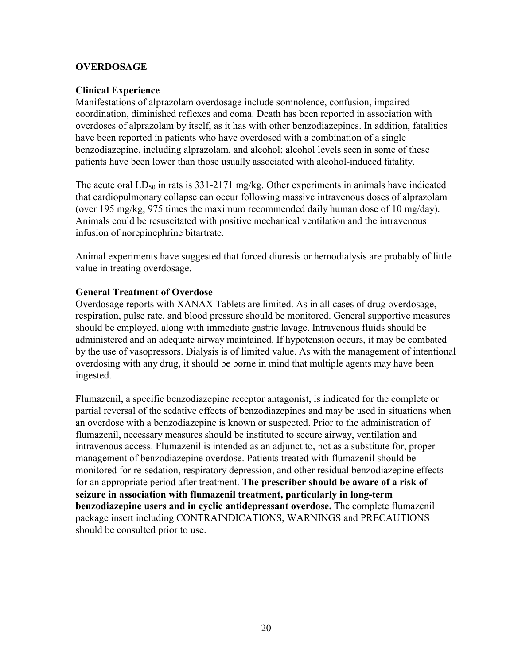## **OVERDOSAGE**

#### **Clinical Experience**

Manifestations of alprazolam overdosage include somnolence, confusion, impaired coordination, diminished reflexes and coma. Death has been reported in association with overdoses of alprazolam by itself, as it has with other benzodiazepines. In addition, fatalities have been reported in patients who have overdosed with a combination of a single benzodiazepine, including alprazolam, and alcohol; alcohol levels seen in some of these patients have been lower than those usually associated with alcohol-induced fatality.

The acute oral  $LD_{50}$  in rats is 331-2171 mg/kg. Other experiments in animals have indicated that cardiopulmonary collapse can occur following massive intravenous doses of alprazolam (over 195 mg/kg; 975 times the maximum recommended daily human dose of 10 mg/day). Animals could be resuscitated with positive mechanical ventilation and the intravenous infusion of norepinephrine bitartrate.

Animal experiments have suggested that forced diuresis or hemodialysis are probably of little value in treating overdosage.

#### **General Treatment of Overdose**

Overdosage reports with XANAX Tablets are limited. As in all cases of drug overdosage, respiration, pulse rate, and blood pressure should be monitored. General supportive measures should be employed, along with immediate gastric lavage. Intravenous fluids should be administered and an adequate airway maintained. If hypotension occurs, it may be combated by the use of vasopressors. Dialysis is of limited value. As with the management of intentional overdosing with any drug, it should be borne in mind that multiple agents may have been ingested.

Flumazenil, a specific benzodiazepine receptor antagonist, is indicated for the complete or partial reversal of the sedative effects of benzodiazepines and may be used in situations when an overdose with a benzodiazepine is known or suspected. Prior to the administration of flumazenil, necessary measures should be instituted to secure airway, ventilation and intravenous access. Flumazenil is intended as an adjunct to, not as a substitute for, proper management of benzodiazepine overdose. Patients treated with flumazenil should be monitored for re-sedation, respiratory depression, and other residual benzodiazepine effects for an appropriate period after treatment. **The prescriber should be aware of a risk of seizure in association with flumazenil treatment, particularly in long-term benzodiazepine users and in cyclic antidepressant overdose.** The complete flumazenil package insert including CONTRAINDICATIONS, WARNINGS and PRECAUTIONS should be consulted prior to use.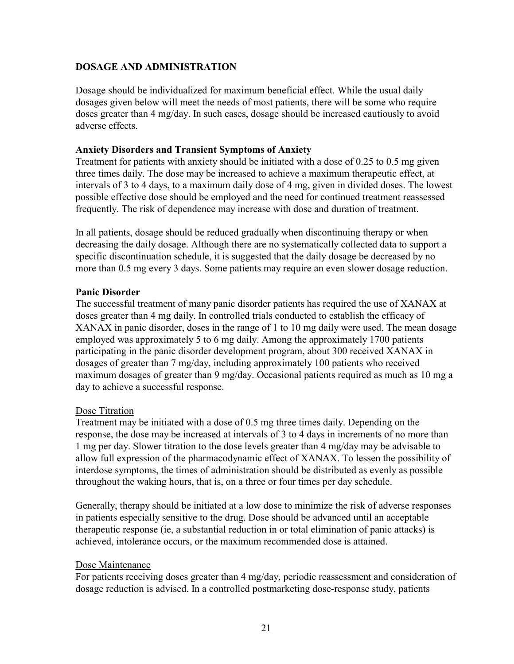# **DOSAGE AND ADMINISTRATION**

Dosage should be individualized for maximum beneficial effect. While the usual daily dosages given below will meet the needs of most patients, there will be some who require doses greater than 4 mg/day. In such cases, dosage should be increased cautiously to avoid adverse effects.

## **Anxiety Disorders and Transient Symptoms of Anxiety**

Treatment for patients with anxiety should be initiated with a dose of 0.25 to 0.5 mg given three times daily. The dose may be increased to achieve a maximum therapeutic effect, at intervals of 3 to 4 days, to a maximum daily dose of 4 mg, given in divided doses. The lowest possible effective dose should be employed and the need for continued treatment reassessed frequently. The risk of dependence may increase with dose and duration of treatment.

In all patients, dosage should be reduced gradually when discontinuing therapy or when decreasing the daily dosage. Although there are no systematically collected data to support a specific discontinuation schedule, it is suggested that the daily dosage be decreased by no more than 0.5 mg every 3 days. Some patients may require an even slower dosage reduction.

### **Panic Disorder**

The successful treatment of many panic disorder patients has required the use of XANAX at doses greater than 4 mg daily. In controlled trials conducted to establish the efficacy of XANAX in panic disorder, doses in the range of 1 to 10 mg daily were used. The mean dosage employed was approximately 5 to 6 mg daily. Among the approximately 1700 patients participating in the panic disorder development program, about 300 received XANAX in dosages of greater than 7 mg/day, including approximately 100 patients who received maximum dosages of greater than 9 mg/day. Occasional patients required as much as 10 mg a day to achieve a successful response.

# Dose Titration

Treatment may be initiated with a dose of 0.5 mg three times daily. Depending on the response, the dose may be increased at intervals of 3 to 4 days in increments of no more than 1 mg per day. Slower titration to the dose levels greater than 4 mg/day may be advisable to allow full expression of the pharmacodynamic effect of XANAX. To lessen the possibility of interdose symptoms, the times of administration should be distributed as evenly as possible throughout the waking hours, that is, on a three or four times per day schedule.

Generally, therapy should be initiated at a low dose to minimize the risk of adverse responses in patients especially sensitive to the drug. Dose should be advanced until an acceptable therapeutic response (ie, a substantial reduction in or total elimination of panic attacks) is achieved, intolerance occurs, or the maximum recommended dose is attained.

# Dose Maintenance

For patients receiving doses greater than 4 mg/day, periodic reassessment and consideration of dosage reduction is advised. In a controlled postmarketing dose-response study, patients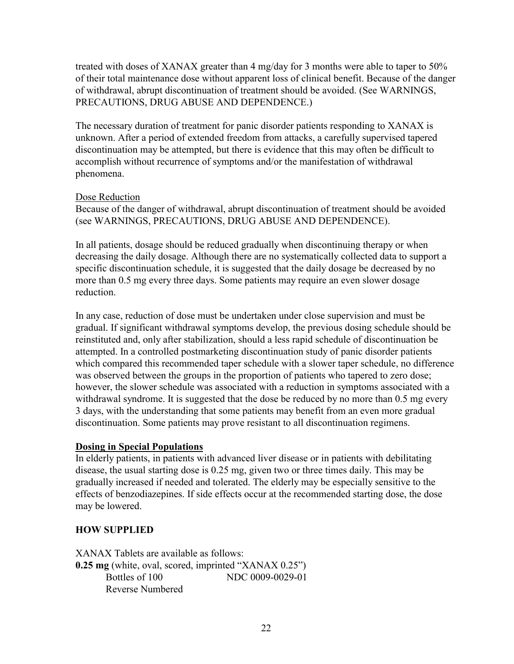treated with doses of XANAX greater than 4 mg/day for 3 months were able to taper to 50% of their total maintenance dose without apparent loss of clinical benefit. Because of the danger of withdrawal, abrupt discontinuation of treatment should be avoided. (See WARNINGS, PRECAUTIONS, DRUG ABUSE AND DEPENDENCE.)

The necessary duration of treatment for panic disorder patients responding to XANAX is unknown. After a period of extended freedom from attacks, a carefully supervised tapered discontinuation may be attempted, but there is evidence that this may often be difficult to accomplish without recurrence of symptoms and/or the manifestation of withdrawal phenomena.

#### Dose Reduction

Because of the danger of withdrawal, abrupt discontinuation of treatment should be avoided (see WARNINGS, PRECAUTIONS, DRUG ABUSE AND DEPENDENCE).

In all patients, dosage should be reduced gradually when discontinuing therapy or when decreasing the daily dosage. Although there are no systematically collected data to support a specific discontinuation schedule, it is suggested that the daily dosage be decreased by no more than 0.5 mg every three days. Some patients may require an even slower dosage reduction.

In any case, reduction of dose must be undertaken under close supervision and must be gradual. If significant withdrawal symptoms develop, the previous dosing schedule should be reinstituted and, only after stabilization, should a less rapid schedule of discontinuation be attempted. In a controlled postmarketing discontinuation study of panic disorder patients which compared this recommended taper schedule with a slower taper schedule, no difference was observed between the groups in the proportion of patients who tapered to zero dose; however, the slower schedule was associated with a reduction in symptoms associated with a withdrawal syndrome. It is suggested that the dose be reduced by no more than 0.5 mg every 3 days, with the understanding that some patients may benefit from an even more gradual discontinuation. Some patients may prove resistant to all discontinuation regimens.

#### **Dosing in Special Populations**

In elderly patients, in patients with advanced liver disease or in patients with debilitating disease, the usual starting dose is 0.25 mg, given two or three times daily. This may be gradually increased if needed and tolerated. The elderly may be especially sensitive to the effects of benzodiazepines. If side effects occur at the recommended starting dose, the dose may be lowered.

#### **HOW SUPPLIED**

XANAX Tablets are available as follows: **0.25 mg** (white, oval, scored, imprinted "XANAX 0.25") Bottles of 100 NDC 0009-0029-01 Reverse Numbered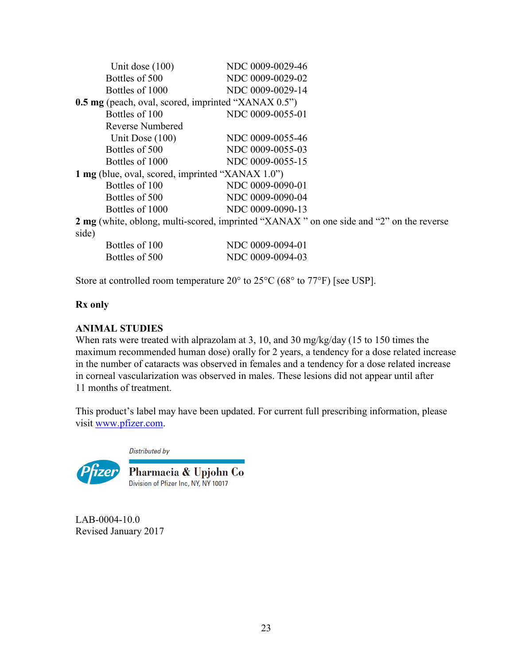| Unit dose $(100)$                                          | NDC 0009-0029-46                                                                               |
|------------------------------------------------------------|------------------------------------------------------------------------------------------------|
|                                                            |                                                                                                |
| Bottles of 500                                             | NDC 0009-0029-02                                                                               |
| Bottles of 1000                                            | NDC 0009-0029-14                                                                               |
| <b>0.5 mg</b> (peach, oval, scored, imprinted "XANAX 0.5") |                                                                                                |
| Bottles of 100                                             | NDC 0009-0055-01                                                                               |
| Reverse Numbered                                           |                                                                                                |
| Unit Dose (100)                                            | NDC 0009-0055-46                                                                               |
| Bottles of 500                                             | NDC 0009-0055-03                                                                               |
| Bottles of 1000                                            | NDC 0009-0055-15                                                                               |
| 1 mg (blue, oval, scored, imprinted "XANAX 1.0")           |                                                                                                |
| Bottles of 100                                             | NDC 0009-0090-01                                                                               |
| Bottles of 500                                             | NDC 0009-0090-04                                                                               |
| Bottles of 1000                                            | NDC 0009-0090-13                                                                               |
|                                                            | <b>2 mg</b> (white, oblong, multi-scored, imprinted "XANAX" on one side and "2" on the reverse |
| side)                                                      |                                                                                                |
| Bottles of 100                                             | NDC 0009-0094-01                                                                               |
| Bottles of 500                                             | NDC 0009-0094-03                                                                               |

Store at controlled room temperature 20° to 25°C (68° to 77°F) [see USP].

### **Rx only**

# **ANIMAL STUDIES**

When rats were treated with alprazolam at 3, 10, and 30 mg/kg/day (15 to 150 times the maximum recommended human dose) orally for 2 years, a tendency for a dose related increase in the number of cataracts was observed in females and a tendency for a dose related increase in corneal vascularization was observed in males. These lesions did not appear until after 11 months of treatment.

This product's label may have been updated. For current full prescribing information, please visit [www.pfizer.com](http://www.pfizer.com/).

Distributed by



LAB-0004-10.0 Revised January 2017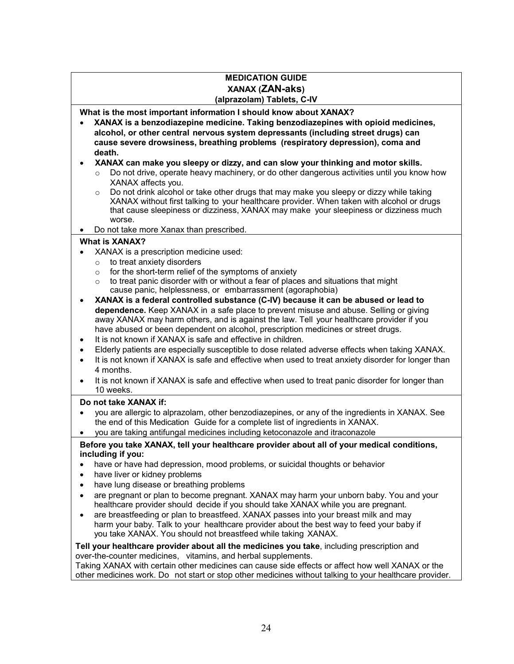#### **MEDICATION GUIDE XANAX (ZAN-aks) (alprazolam) Tablets, C-IV**

#### **What is the most important information I should know about XANAX?**

- **XANAX is a benzodiazepine medicine. Taking benzodiazepines with opioid medicines, alcohol, or other central nervous system depressants (including street drugs) can cause severe drowsiness, breathing problems (respiratory depression), coma and death.**
- **XANAX can make you sleepy or dizzy, and can slow your thinking and motor skills.**
	- $\circ$  Do not drive, operate heavy machinery, or do other dangerous activities until you know how XANAX affects you.
	- Do not drink alcohol or take other drugs that may make you sleepy or dizzy while taking XANAX without first talking to your healthcare provider. When taken with alcohol or drugs that cause sleepiness or dizziness, XANAX may make your sleepiness or dizziness much worse.
- Do not take more Xanax than prescribed.

#### **What is XANAX?**

- XANAX is a prescription medicine used:
	- $\circ$  to treat anxiety disorders
	- o for the short-term relief of the symptoms of anxiety
	- o to treat panic disorder with or without a fear of places and situations that might cause panic, helplessness, or embarrassment (agoraphobia)
- **XANAX is a federal controlled substance (C-IV) because it can be abused or lead to dependence.** Keep XANAX in a safe place to prevent misuse and abuse. Selling or giving away XANAX may harm others, and is against the law. Tell your healthcare provider if you have abused or been dependent on alcohol, prescription medicines or street drugs.
- It is not known if XANAX is safe and effective in children.
- Elderly patients are especially susceptible to dose related adverse effects when taking XANAX.
- It is not known if XANAX is safe and effective when used to treat anxiety disorder for longer than 4 months.
- It is not known if XANAX is safe and effective when used to treat panic disorder for longer than 10 weeks.

#### **Do not take XANAX if:**

- you are allergic to alprazolam, other benzodiazepines, or any of the ingredients in XANAX. See the end of this Medication Guide for a complete list of ingredients in XANAX.
- you are taking antifungal medicines including ketoconazole and itraconazole

#### **Before you take XANAX, tell your healthcare provider about all of your medical conditions, including if you:**

- have or have had depression, mood problems, or suicidal thoughts or behavior
- have liver or kidney problems
- have lung disease or breathing problems
- are pregnant or plan to become pregnant. XANAX may harm your unborn baby. You and your healthcare provider should decide if you should take XANAX while you are pregnant.
- are breastfeeding or plan to breastfeed. XANAX passes into your breast milk and may harm your baby. Talk to your healthcare provider about the best way to feed your baby if you take XANAX. You should not breastfeed while taking XANAX.

**Tell your healthcare provider about all the medicines you take**, including prescription and over-the-counter medicines, vitamins, and herbal supplements.

Taking XANAX with certain other medicines can cause side effects or affect how well XANAX or the other medicines work. Do not start or stop other medicines without talking to your healthcare provider.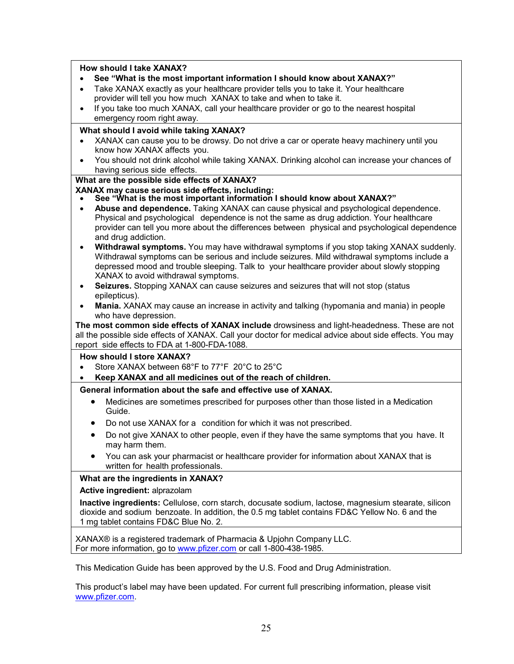**How should I take XANAX?**

- **See "What is the most important information I should know about XANAX?"**
- Take XANAX exactly as your healthcare provider tells you to take it. Your healthcare provider will tell you how much XANAX to take and when to take it.
- If you take too much XANAX, call your healthcare provider or go to the nearest hospital emergency room right away.

#### **What should I avoid while taking XANAX?**

- XANAX can cause you to be drowsy. Do not drive a car or operate heavy machinery until you know how XANAX affects you.
- You should not drink alcohol while taking XANAX. Drinking alcohol can increase your chances of having serious side effects.

#### **What are the possible side effects of XANAX?**

- **XANAX may cause serious side effects, including:**
	- **See "What is the most important information I should know about XANAX?"**
- **Abuse and dependence.** Taking XANAX can cause physical and psychological dependence. Physical and psychological dependence is not the same as drug addiction. Your healthcare provider can tell you more about the differences between physical and psychological dependence and drug addiction.
- **Withdrawal symptoms.** You may have withdrawal symptoms if you stop taking XANAX suddenly. Withdrawal symptoms can be serious and include seizures. Mild withdrawal symptoms include a depressed mood and trouble sleeping. Talk to your healthcare provider about slowly stopping XANAX to avoid withdrawal symptoms.
- **Seizures.** Stopping XANAX can cause seizures and seizures that will not stop (status epilepticus).
- **Mania.** XANAX may cause an increase in activity and talking (hypomania and mania) in people who have depression.

**The most common side effects of XANAX include** drowsiness and light-headedness. These are not all the possible side effects of XANAX. Call your doctor for medical advice about side effects. You may report side effects to FDA at 1-800-FDA-1088.

#### **How should I store XANAX?**

- Store XANAX between 68°F to 77°F 20°C to 25°C
- **Keep XANAX and all medicines out of the reach of children.**

#### **General information about the safe and effective use of XANAX.**

- Medicines are sometimes prescribed for purposes other than those listed in a Medication Guide.
- Do not use XANAX for a condition for which it was not prescribed.
- Do not give XANAX to other people, even if they have the same symptoms that you have. It may harm them.
- You can ask your pharmacist or healthcare provider for information about XANAX that is written for health professionals.

#### **What are the ingredients in XANAX?**

#### **Active ingredient:** alprazolam

**Inactive ingredients:** Cellulose, corn starch, docusate sodium, lactose, magnesium stearate, silicon dioxide and sodium benzoate. In addition, the 0.5 mg tablet contains FD&C Yellow No. 6 and the 1 mg tablet contains FD&C Blue No. 2.

XANAX® is a registered trademark of Pharmacia & Upjohn Company LLC. For more information, go to [www.pfizer.com](http://www.pfizer.com/) or call 1-800-438-1985.

This Medication Guide has been approved by the U.S. Food and Drug Administration.

This product's label may have been updated. For current full prescribing information, please visit [www.pfizer.com](http://www.pfizer.com/).